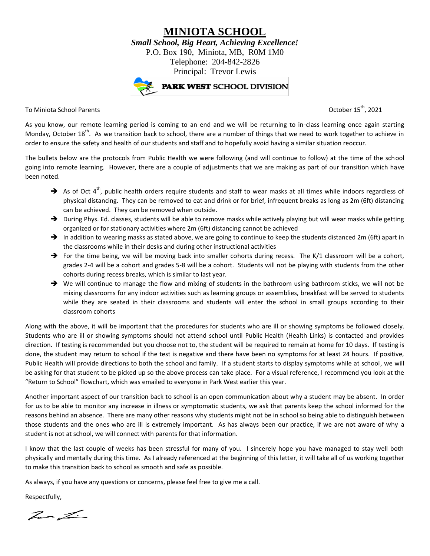**MINIOTA SCHOOL** *Small School, Big Heart, Achieving Excellence!* P.O. Box 190, Miniota, MB, R0M 1M0 Telephone: 204-842-2826 Principal: Trevor Lewis



To Miniota School Parents October 15th, 2021

As you know, our remote learning period is coming to an end and we will be returning to in-class learning once again starting Monday, October 18<sup>th</sup>. As we transition back to school, there are a number of things that we need to work together to achieve in order to ensure the safety and health of our students and staff and to hopefully avoid having a similar situation reoccur.

The bullets below are the protocols from Public Health we were following (and will continue to follow) at the time of the school going into remote learning. However, there are a couple of adjustments that we are making as part of our transition which have been noted.

- $\rightarrow$  As of Oct 4<sup>th</sup>, public health orders require students and staff to wear masks at all times while indoors regardless of physical distancing. They can be removed to eat and drink or for brief, infrequent breaks as long as 2m (6ft) distancing can be achieved. They can be removed when outside.
- $\rightarrow$  During Phys. Ed. classes, students will be able to remove masks while actively playing but will wear masks while getting organized or for stationary activities where 2m (6ft) distancing cannot be achieved
- In addition to wearing masks as stated above, we are going to continue to keep the students distanced 2m (6ft) apart in the classrooms while in their desks and during other instructional activities
- For the time being, we will be moving back into smaller cohorts during recess. The K/1 classroom will be a cohort, grades 2-4 will be a cohort and grades 5-8 will be a cohort. Students will not be playing with students from the other cohorts during recess breaks, which is similar to last year.
- $\rightarrow$  We will continue to manage the flow and mixing of students in the bathroom using bathroom sticks, we will not be mixing classrooms for any indoor activities such as learning groups or assemblies, breakfast will be served to students while they are seated in their classrooms and students will enter the school in small groups according to their classroom cohorts

Along with the above, it will be important that the procedures for students who are ill or showing symptoms be followed closely. Students who are ill or showing symptoms should not attend school until Public Health (Health Links) is contacted and provides direction. If testing is recommended but you choose not to, the student will be required to remain at home for 10 days. If testing is done, the student may return to school if the test is negative and there have been no symptoms for at least 24 hours. If positive, Public Health will provide directions to both the school and family. If a student starts to display symptoms while at school, we will be asking for that student to be picked up so the above process can take place. For a visual reference, I recommend you look at the "Return to School" flowchart, which was emailed to everyone in Park West earlier this year.

Another important aspect of our transition back to school is an open communication about why a student may be absent. In order for us to be able to monitor any increase in illness or symptomatic students, we ask that parents keep the school informed for the reasons behind an absence. There are many other reasons why students might not be in school so being able to distinguish between those students and the ones who are ill is extremely important. As has always been our practice, if we are not aware of why a student is not at school, we will connect with parents for that information.

I know that the last couple of weeks has been stressful for many of you. I sincerely hope you have managed to stay well both physically and mentally during this time. As I already referenced at the beginning of this letter, it will take all of us working together to make this transition back to school as smooth and safe as possible.

As always, if you have any questions or concerns, please feel free to give me a call.

Respectfully,

hur Lin